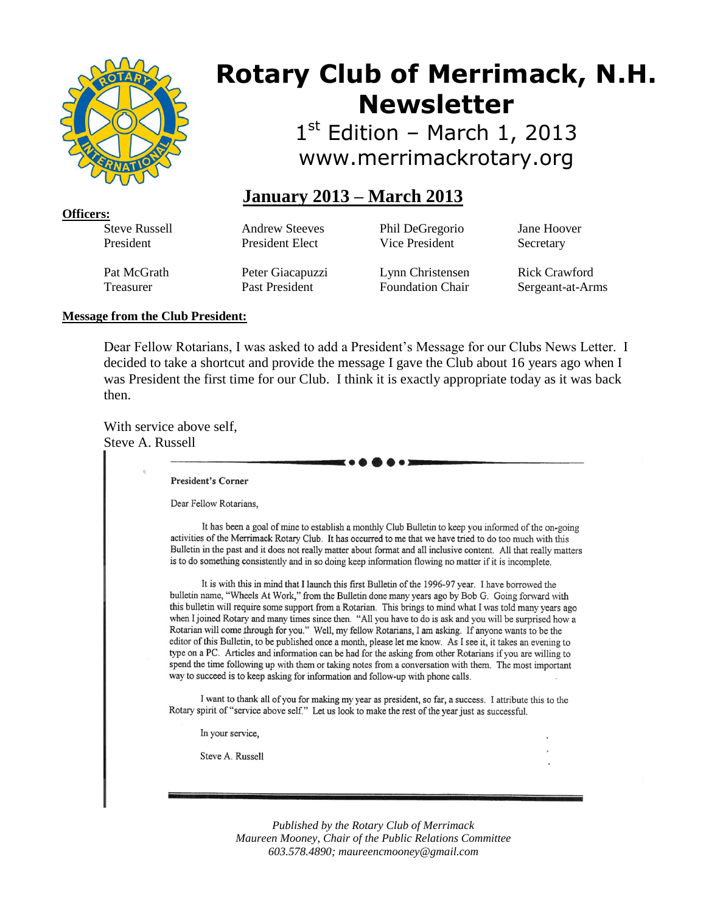

# **Rotary Club of Merrimack, N.H. Newsletter**

1st Edition - March 1, 2013 www.merrimackrotary.org

# **January 2013 – March 2013**

**Officers:** Steve Russell President

Andrew Steeves President Elect

Phil DeGregorio Vice President

Jane Hoover **Secretary** 

Pat McGrath Treasurer

Peter Giacapuzzi Past President

Lynn Christensen Foundation Chair

Rick Crawford Sergeant-at-Arms

# **Message from the Club President:**

Dear Fellow Rotarians, I was asked to add a President's Message for our Clubs News Letter. I decided to take a shortcut and provide the message I gave the Club about 16 years ago when I was President the first time for our Club. I think it is exactly appropriate today as it was back then.

With service above self, Steve A. Russell

**President's Corner** 

Dear Fellow Rotarians.

It has been a goal of mine to establish a monthly Club Bulletin to keep you informed of the on-going activities of the Merrimack Rotary Club. It has occurred to me that we have tried to do too much with this Bulletin in the past and it does not really matter about format and all inclusive content. All that really matters is to do something consistently and in so doing keep information flowing no matter if it is incomplete.

It is with this in mind that I launch this first Bulletin of the 1996-97 year. I have borrowed the bulletin name, "Wheels At Work," from the Bulletin done many years ago by Bob G. Going forward with this bulletin will require some support from a Rotarian. This brings to mind what I was told many years ago when I joined Rotary and many times since then. "All you have to do is ask and you will be surprised how a Rotarian will come through for you." Well, my fellow Rotarians, I am asking. If anyone wants to be the editor of this Bulletin, to be published once a month, please let me know. As I see it, it takes an evening to type on a PC. Articles and information can be had for the asking from other Rotarians if you are willing to spend the time following up with them or taking notes from a conversation with them. The most important way to succeed is to keep asking for information and follow-up with phone calls.

I want to thank all of you for making my year as president, so far, a success. I attribute this to the Rotary spirit of "service above self." Let us look to make the rest of the year just as successful.

In your service,

Steve A. Russell

*Published by the Rotary Club of Merrimack Maureen Mooney, Chair of the Public Relations Committee 603.578.4890; maureencmooney@gmail.com*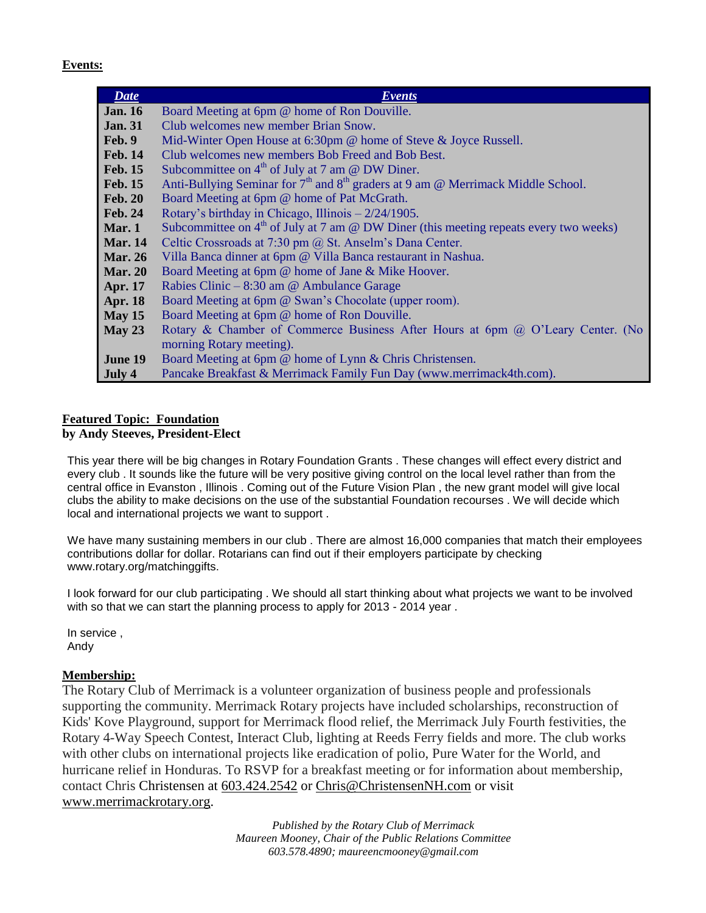#### **Events:**

| Date           | <i>Events</i>                                                                           |
|----------------|-----------------------------------------------------------------------------------------|
| <b>Jan.</b> 16 | Board Meeting at 6pm @ home of Ron Douville.                                            |
| <b>Jan. 31</b> | Club welcomes new member Brian Snow.                                                    |
| Feb. 9         | Mid-Winter Open House at 6:30pm @ home of Steve & Joyce Russell.                        |
| <b>Feb. 14</b> | Club welcomes new members Bob Freed and Bob Best.                                       |
| <b>Feb. 15</b> | Subcommittee on $4th$ of July at 7 am @ DW Diner.                                       |
| <b>Feb. 15</b> | Anti-Bullying Seminar for $7th$ and $8th$ graders at 9 am @ Merrimack Middle School.    |
| <b>Feb. 20</b> | Board Meeting at 6pm @ home of Pat McGrath.                                             |
| <b>Feb. 24</b> | Rotary's birthday in Chicago, Illinois $-2/24/1905$ .                                   |
| Mar. $1$       | Subcommittee on $4th$ of July at 7 am @ DW Diner (this meeting repeats every two weeks) |
| <b>Mar.</b> 14 | Celtic Crossroads at 7:30 pm @ St. Anselm's Dana Center.                                |
| <b>Mar. 26</b> | Villa Banca dinner at 6pm @ Villa Banca restaurant in Nashua.                           |
| <b>Mar. 20</b> | Board Meeting at 6pm @ home of Jane & Mike Hoover.                                      |
| <b>Apr. 17</b> | Rabies Clinic – $8:30$ am @ Ambulance Garage                                            |
| <b>Apr. 18</b> | Board Meeting at 6pm @ Swan's Chocolate (upper room).                                   |
| May 15         | Board Meeting at 6pm @ home of Ron Douville.                                            |
| May 23         | Rotary & Chamber of Commerce Business After Hours at 6pm @ O'Leary Center. (No          |
|                | morning Rotary meeting).                                                                |
| <b>June 19</b> | Board Meeting at 6pm @ home of Lynn & Chris Christensen.                                |
| July 4         | Pancake Breakfast & Merrimack Family Fun Day (www.merrimack4th.com).                    |

# **Featured Topic: Foundation**

# **by Andy Steeves, President-Elect**

This year there will be big changes in Rotary Foundation Grants . These changes will effect every district and every club . It sounds like the future will be very positive giving control on the local level rather than from the central office in Evanston , Illinois . Coming out of the Future Vision Plan , the new grant model will give local clubs the ability to make decisions on the use of the substantial Foundation recourses . We will decide which local and international projects we want to support .

We have many sustaining members in our club . There are almost 16,000 companies that match their employees contributions dollar for dollar. Rotarians can find out if their employers participate by checking www.rotary.org/matchinggifts.

I look forward for our club participating . We should all start thinking about what projects we want to be involved with so that we can start the planning process to apply for 2013 - 2014 year .

In service , Andy

## **Membership:**

The Rotary Club of Merrimack is a volunteer organization of business people and professionals supporting the community. Merrimack Rotary projects have included scholarships, reconstruction of Kids' Kove Playground, support for Merrimack flood relief, the Merrimack July Fourth festivities, the Rotary 4-Way Speech Contest, Interact Club, lighting at Reeds Ferry fields and more. The club works with other clubs on international projects like eradication of polio, Pure Water for the World, and hurricane relief in Honduras. To RSVP for a breakfast meeting or for information about membership, contact Chris Christensen at [603.424.2542](tel:603.424.2542) or [Chris@ChristensenNH.com](mailto:Chris@ChristensenNH.com) or visit [www.merrimackrotary.org.](http://www.merrimackrotary.org/)

> *Published by the Rotary Club of Merrimack Maureen Mooney, Chair of the Public Relations Committee 603.578.4890; maureencmooney@gmail.com*